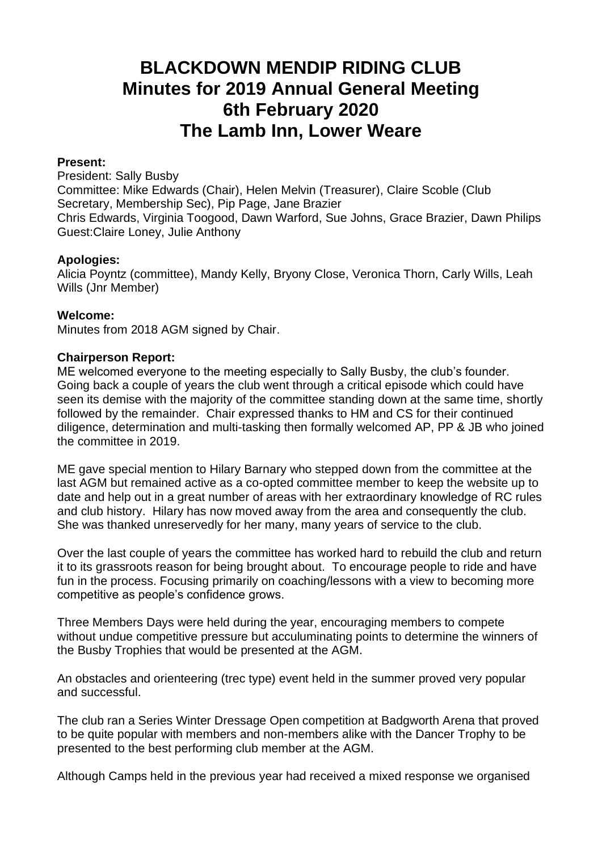# **BLACKDOWN MENDIP RIDING CLUB Minutes for 2019 Annual General Meeting 6th February 2020 The Lamb Inn, Lower Weare**

## **Present:**

President: Sally Busby Committee: Mike Edwards (Chair), Helen Melvin (Treasurer), Claire Scoble (Club Secretary, Membership Sec), Pip Page, Jane Brazier Chris Edwards, Virginia Toogood, Dawn Warford, Sue Johns, Grace Brazier, Dawn Philips Guest:Claire Loney, Julie Anthony

## **Apologies:**

Alicia Poyntz (committee), Mandy Kelly, Bryony Close, Veronica Thorn, Carly Wills, Leah Wills (Jnr Member)

## **Welcome:**

Minutes from 2018 AGM signed by Chair.

## **Chairperson Report:**

ME welcomed everyone to the meeting especially to Sally Busby, the club's founder. Going back a couple of years the club went through a critical episode which could have seen its demise with the majority of the committee standing down at the same time, shortly followed by the remainder. Chair expressed thanks to HM and CS for their continued diligence, determination and multi-tasking then formally welcomed AP, PP & JB who joined the committee in 2019.

ME gave special mention to Hilary Barnary who stepped down from the committee at the last AGM but remained active as a co-opted committee member to keep the website up to date and help out in a great number of areas with her extraordinary knowledge of RC rules and club history. Hilary has now moved away from the area and consequently the club. She was thanked unreservedly for her many, many years of service to the club.

Over the last couple of years the committee has worked hard to rebuild the club and return it to its grassroots reason for being brought about. To encourage people to ride and have fun in the process. Focusing primarily on coaching/lessons with a view to becoming more competitive as people's confidence grows.

Three Members Days were held during the year, encouraging members to compete without undue competitive pressure but acculuminating points to determine the winners of the Busby Trophies that would be presented at the AGM.

An obstacles and orienteering (trec type) event held in the summer proved very popular and successful.

The club ran a Series Winter Dressage Open competition at Badgworth Arena that proved to be quite popular with members and non-members alike with the Dancer Trophy to be presented to the best performing club member at the AGM.

Although Camps held in the previous year had received a mixed response we organised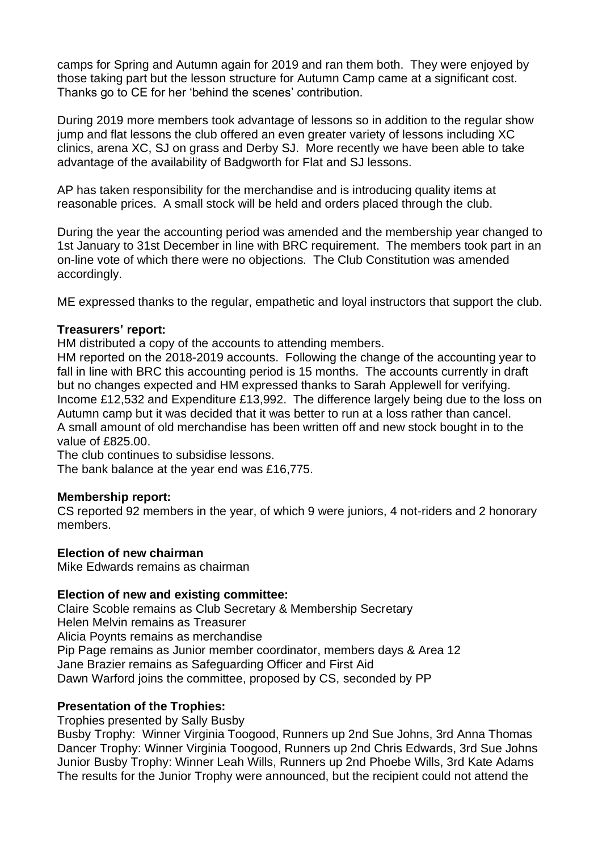camps for Spring and Autumn again for 2019 and ran them both. They were enjoyed by those taking part but the lesson structure for Autumn Camp came at a significant cost. Thanks go to CE for her 'behind the scenes' contribution.

During 2019 more members took advantage of lessons so in addition to the regular show jump and flat lessons the club offered an even greater variety of lessons including XC clinics, arena XC, SJ on grass and Derby SJ. More recently we have been able to take advantage of the availability of Badgworth for Flat and SJ lessons.

AP has taken responsibility for the merchandise and is introducing quality items at reasonable prices. A small stock will be held and orders placed through the club.

During the year the accounting period was amended and the membership year changed to 1st January to 31st December in line with BRC requirement. The members took part in an on-line vote of which there were no objections. The Club Constitution was amended accordingly.

ME expressed thanks to the regular, empathetic and loyal instructors that support the club.

## **Treasurers' report:**

HM distributed a copy of the accounts to attending members.

HM reported on the 2018-2019 accounts. Following the change of the accounting year to fall in line with BRC this accounting period is 15 months. The accounts currently in draft but no changes expected and HM expressed thanks to Sarah Applewell for verifying. Income £12,532 and Expenditure £13,992. The difference largely being due to the loss on Autumn camp but it was decided that it was better to run at a loss rather than cancel. A small amount of old merchandise has been written off and new stock bought in to the value of £825.00.

The club continues to subsidise lessons.

The bank balance at the year end was £16,775.

#### **Membership report:**

CS reported 92 members in the year, of which 9 were juniors, 4 not-riders and 2 honorary members.

#### **Election of new chairman**

Mike Edwards remains as chairman

#### **Election of new and existing committee:**

Claire Scoble remains as Club Secretary & Membership Secretary Helen Melvin remains as Treasurer Alicia Poynts remains as merchandise Pip Page remains as Junior member coordinator, members days & Area 12 Jane Brazier remains as Safeguarding Officer and First Aid Dawn Warford joins the committee, proposed by CS, seconded by PP

## **Presentation of the Trophies:**

Trophies presented by Sally Busby

Busby Trophy: Winner Virginia Toogood, Runners up 2nd Sue Johns, 3rd Anna Thomas Dancer Trophy: Winner Virginia Toogood, Runners up 2nd Chris Edwards, 3rd Sue Johns Junior Busby Trophy: Winner Leah Wills, Runners up 2nd Phoebe Wills, 3rd Kate Adams The results for the Junior Trophy were announced, but the recipient could not attend the